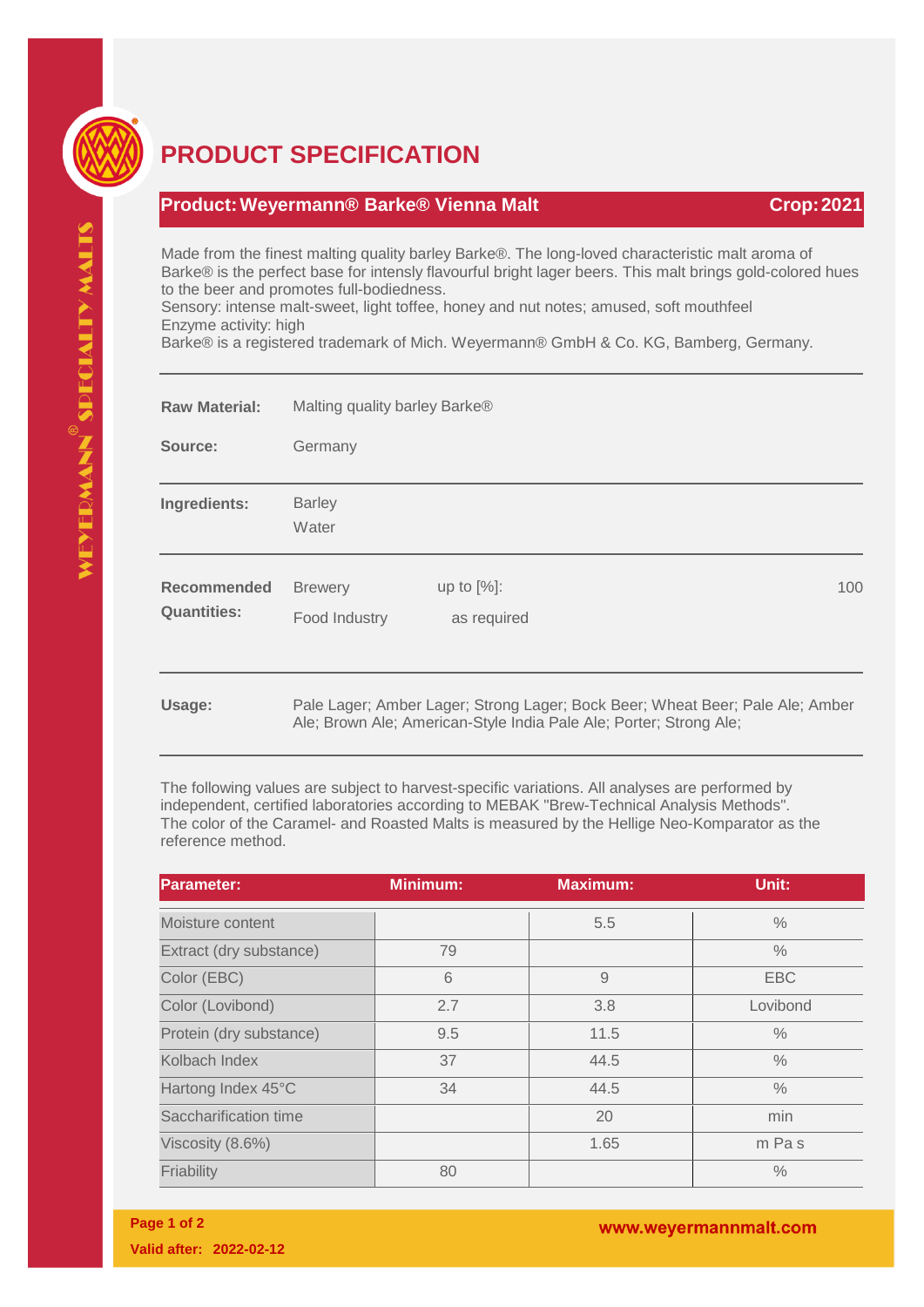

## **PRODUCT SPECIFICATION**

## **Product:Weyermann® Barke® Vienna Malt Crop:2021**

Made from the finest malting quality barley Barke®. The long-loved characteristic malt aroma of Barke® is the perfect base for intensly flavourful bright lager beers. This malt brings gold-colored hues to the beer and promotes full-bodiedness.

Sensory: intense malt-sweet, light toffee, honey and nut notes; amused, soft mouthfeel Enzyme activity: high

Barke® is a registered trademark of Mich. Weyermann® GmbH & Co. KG, Bamberg, Germany.

| <b>Raw Material:</b>                     | Malting quality barley Barke®   |                              |                                                   |                                                                               |     |
|------------------------------------------|---------------------------------|------------------------------|---------------------------------------------------|-------------------------------------------------------------------------------|-----|
| Source:                                  | Germany                         |                              |                                                   |                                                                               |     |
| Ingredients:                             | <b>Barley</b><br>Water          |                              |                                                   |                                                                               |     |
| <b>Recommended</b><br><b>Quantities:</b> | <b>Brewery</b><br>Food Industry | up to $[%]$ :<br>as required |                                                   |                                                                               | 100 |
| Usage:                                   |                                 |                              | AL D., AL A., J., OLL L.P. D.L. AL D. J., OL., AL | Pale Lager; Amber Lager; Strong Lager; Bock Beer; Wheat Beer; Pale Ale; Amber |     |

Ale; Brown Ale; American-Style India Pale Ale; Porter; Strong Ale;

The following values are subject to harvest-specific variations. All analyses are performed by independent, certified laboratories according to MEBAK "Brew-Technical Analysis Methods". The color of the Caramel- and Roasted Malts is measured by the Hellige Neo-Komparator as the reference method.

| <b>Parameter:</b>       | <b>Minimum:</b> | <b>Maximum:</b> | Unit:         |
|-------------------------|-----------------|-----------------|---------------|
| Moisture content        |                 | 5.5             | $\%$          |
| Extract (dry substance) | 79              |                 | $\frac{0}{0}$ |
| Color (EBC)             | 6               | $\overline{9}$  | <b>EBC</b>    |
| Color (Lovibond)        | 2.7             | 3.8             | Lovibond      |
| Protein (dry substance) | 9.5             | 11.5            | $\%$          |
| Kolbach Index           | 37              | 44.5            | $\%$          |
| Hartong Index 45°C      | 34              | 44.5            | $\frac{0}{0}$ |
| Saccharification time   |                 | 20              | min           |
| Viscosity (8.6%)        |                 | 1.65            | m Pas         |
| Friability              | 80              |                 | $\frac{0}{0}$ |